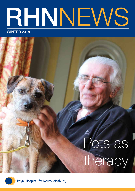# RHNNEWS

#### WINTER 2018

## Pets as therapy



Royal Hospital for Neuro-disability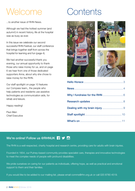### Welcome Contents

...to another issue of RHN News.

Although we had the hottest summer (and autumn!) in recent history, life at the hospital was as busy as ever.

In this issue we celebrate our second successful RHN Festival, our staff conference that brings together staff from across the hospital for learning and fun (page 4).

We had another successful thank you evening, our annual opportunity to thank those who raise money for us, and on page 6 we hear from one of those dedicated supporters Anna, about why she chose to raise money for the RHN.

Our staff spotlight on page 10 features our Compass team,, the people who help patients and residents use assistive technologies as communication aids, for rehab and leisure.

Happy reading!

Paul Allen Chief Executive







#### We're online! Follow us @RHNUK **19 M**

The RHN is a well-respected, charity hospital and research centre, providing care for adults with brain injuries.

Founded in 1854, our Putney-based community provides specialist care, therapies and innovative technologies to meet the complex needs of people with profound disabilities.

We pride ourselves on caring for our patients as individuals, offering hope, as well as practical and emotional support to them and their families.

If you would like to be added to our mailing list, please email comms@rhn.org.uk or call 020 8780 4519.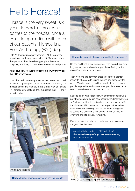### Hello Horace!

Horace is the very sweet, six year old Border Terrier who comes to the hospital once a week to spend time with some of our patients. Horace is a Pets As Therapy (PAT) dog.

Pets As Therapy is a charity started in 1983 to provide animal assisted therapy across the UK. Volunteers share their pets and their time visiting people at home, in hospitals, hospices, schools, day care centres and prisons.

#### Annie Hudson, Horace's owner told us why they visit the RHN every week…

"I watched a documentary about stroke patients who had access to dogs as part of their rehabilitation and really liked the idea of working with adults in a similar way. So I asked PAT for recommendations, they suggested the RHN and it sounded ideal.



Horace likes... cream crackers and rich tea biscuits!



Horace is... very affectionate, alert and high maintenance!

Horace and I visit a few wards every time we visit, but how long we stay depends on how people are feeling on the day – it's usually an hour or two.

Then we go to the common areas to see the patients/ residents who are with visiting families and friends off the wards. We also walk around the hospital to see as many people as possible and always meet people who've never seen Horace before so will stop and chat.

Depending on who Horace is with and their condition, it's not always easy to gauge how patients/residents feel when we're there, but the therapists let me know how impactful the visits are. With people who can express themselves, I see the smiles and very positive reactions. Being able to stroke and play with a friendly dog is just so nice for everyone and I find it very rewarding.

Everyone here is so kind and really embrace Horace and the good that he does."

Interested in becoming an RHN volunteer? Visit www.rhn.org.uk/support-us/volunteering for more information.



Mike (a patient) getting to know Horace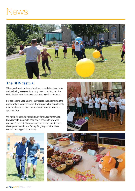### News



#### The RHN festival

When you have four days of workshops, activities, team talks and wellbeing sessions, it can only mean one thing, another RHN Festival - our alternative version to a staff conference.

For the second year running, staff across the hospital had the opportunity to learn more about working in other departments, meet trustees and board members and have some execapproved fun.

We had a full agenda including a performance from Putney High School's a cappella choir and a chance to sing with our own RHN choir. There was also interactive learning and development sessions, a fiercely fought quiz, a first class bake-off and a great sports day.





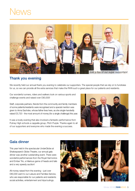### **News**



#### Thank you evening

We recently held our annual thank you evening to celebrate our supporters. The special people that we rely on to fundraise for us, so we can provide all the extra services that make the RHN such a great place for our patients and residents.

Our wonderful runners, riders and walkers took on various sports and challenge events and raised over £90,000!

Staff, corporate partners, friends from the community and family members of some patients/residents were recognised and a special mention was given to Anna Sachdev, whose father lives here, as she single-handedly raised £5,720 - the most amount of money (for a single challenge) this year.

It was a lovely evening that also involved a fantastic performance from Putney High schools a cappella group, Pitch Purple. Thanks again to all of our supporters and everyone who made the evening a success.



#### Gala dinner

This year held in the spectacular UnderGlobe at Shakespeare's Globe Theatre, our annual gala dinner was another outstanding event. There were wonderful performances from the Royal Harmonics and Ember Trio, a hilarious game of heads and tails and a very speedy auction!

All money raised from the evening – just over £80,000 went to our Leisure and Families Service, who are responsible for our patients and residents social activities, entertainment and trips/outings.



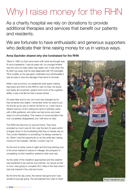### Why I raise money for the RHN

As a charity hospital we rely on donations to provide additional therapies and services that benefit our patients and residents.

We are fortunate to have enthusiastic and generous supporters who dedicate their time raising money for us in various ways.

#### Anna Sachdev shared why she fundraised for the RHN

"Back in 1993 my Dad came down with what we thought was flu and a headache. I was six years old, my younger brother was four and our baby sister was nearly one. It was when the flu didn't go away, that he was diagnosed with TB meningitis. TB is curable, so he was given medication but unfortunately it was too late to stop the damage it had done to his brain.

While I was at school, my weekends were spent making trips back and forth to the RHN to visit my Dad. He slowly lost nearly all movement, speech and much of his cognitive ability, it was a bit like he had a severe stroke.

25 years later and to me, not much has changed as he has remained very stable. I remember when he used to put his thumb up for yes or clench his fist for no. I even have a distant memory of him writing his name in birthday cards with a little guidance, and when we had some very basic ways of communicating. This means of communication has now completely disappeared, but I still have my dad.

The RHN has become my second home. They have provided so much care for him over the last 24 years which is largely down to the fundraising that they so heavily rely on. The London Marathon is something I've always wanted to do. When I had the opportunity to do this while also raising money for the hospital, I felt like I couldn't say no!

As the end of winter came in sight and the long training runs in the snow started to reduce in mileage, the prospect of completing my first marathon started to feel more real.

As the week of the marathon approached and the weather was predicted to be warmer and warmer, my nerves turned to how I was going to complete 26.2 miles in the heat when I had only trained in the cold and snow!

By the time the day came, the nerves had gone and I was excited to just get going. The atmosphere from start to finish

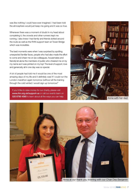was like nothing I could have ever imagined. I had been told the atmosphere would just keep me going and it was so true.

Whenever there was a moment of doubt in my head about completing it, the crowds and other runners kept me running. I also knew I had family and friends dotted around the route as well as the RHN support team at Tower Bridge which was incredible.

The best moments were when I was surprised by spotting unexpected familiar faces, people who had also made the effort to come and cheer me on (ex-colleagues, housemates and friends) let alone the members of public who cheered me on by my name as it was printed on my top! The level of support, love and generosity all in one day was so special.

A lot of people had told me it would be one of the most amazing days of my life and it definitely was! If I could run the London marathon again tomorrow (without all the training through the cold winter) I would sign up tomorrow!"

If you'd like to raise money for our charity, please visit www.rhn.org.uk/support-us or call our events team on 020 8780 4560 to learn about all the ways you can help.



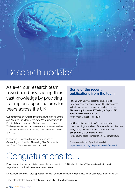### Research updates

As ever, our research team have been busy sharing their vast knowledge by providing training and open lectures for peers across the UK.

Our conference on 'Challenging Behaviour Following Stroke and Acquired Brain Injury: Improved Management in Acute Residential and Community Settings was a great success. 71 delegates attended the conference, with some travelling from as far as Scotland, Yorkshire, Manchester and Devon to join us.

Building on our existing training, a new course on Swallowing and Nutrition: Navigating Risk, Complexity and Ethical Dilemmas has been launched.

#### Some of the recent publications from the team

Patients with a severe prolonged Disorder of Consciousness can show classical EEG responses to their own name compared with others' names. AM Kempny, L James, K Yelden, S Duport, SF Farmer, D Playford, AP Leff NeuroImage Clinical - April 2018

"Neither a wife nor a widow": an interpretative phenomenological analysis of the experiences of female family caregivers in disorders of consciousness. SM Soeterik, S Connolly, A Riazi Neuropsychological Rehabilitation - December 2018

For a complete list of publications visit https://www.rhn.org.uk/professionals/research

### Congratulations to...

Dr Agnieszka Kempny, speciality doctor who was awarded a PhD for her thesis on 'Characterising brain function in vegetative and minimally conscious states patients'.

Monet Marinas Clinical Nurse Specialist, Infection Control nurse for her MSc in Healthcare associated infection control.

They both collected their qualifications at University College London in July.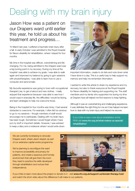### Dealing with my brain injury

Jason How was a patient on our Drapers ward until earlier this year, he told us about his treatment and progress…

"In March last year, I suffered a traumatic brain injury after a fall. In early October I was admitted to the Royal Hospital for Neuro-disability for rehabilitation, where I stayed for four months.

My time in the hospital was difficult, overwhelming and lifechanging. For me, being admitted to the Drapers ward was a big turning point in my recovery. During my time at the hospital I was able to achieve my goals. I was able to walk again and improved my balance by going to gym sessions with physiotherapists. I was able to learn how to use a computer and send emails.

My favourite experience was going to town with occupational therapist Lisa, to get a haircut and new clothes. I really enjoyed that experience because I was able to see how I would cope in everyday life, the difficulties I would be facing, and learn strategies to help me overcome those.

Being in the hospital for four months was tricky. I had several obstacles to overcome. For example, I often felt too anxious to go to my sessions – though members of staff would encourage me to participate. Dealing with my brain injury has been tough. Sometimes I would forget where I have put my stuff or important details. However, I was advised to keep a diary and a notebook where I would write down



important information, create to do lists and note down what I have done in a day. This is a useful way to help support my memory and help me remember information.

I wanted to write this article to share my experience and my recovery, but also to thank everyone at the Royal Hospital for Neuro-disability for helping and supporting me. The staff members and my family who supported me during my time at Drapers have all helped me find reasons to keep fighting.

Although it was an overwhelming and challenging experience, it was definitely the right thing for me as it has helped me learn how to deal with my brain injury and helped me recover.

If you'd like to learn more about rehabilitation at the RHN visit www.rhn.org.uk/what-makes-us-special/ rehabilitation/

We are currently fundraising to renovate Drapers ward, where Jason stayed, as part of our extensive capital works programme.

We're planning to reconfigure the ward to improve accessibility and privacy for patients, and create a spacious and homely environment that will give them the room they need to practice the skills developed through rehabilitation and nurture their independence.



If you'd like to learn more about the project or donate to it - visit www.rhn.org.uk/support-us/donate-therapy-hub/ and watch the short video about the difference it will make to our patients.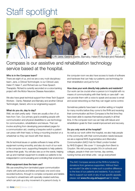### Staff spotlight



L-R: Jane, Gerard, Dante, Barnaby, Helen P, Richard and Rebekah

Compass is our assistive and rehabilitation technology service based at the hospital.

#### Who is in the Compass team?

There are eight of us, and we are a very multi-disciplinary team: Jane, a Clinical Technologist, is our Clinical Lead, Helen P, Helen T, and Richard are our three Speech Therapists. Richard is currently seconded on a voice-banking project with the Motor Neurone Disease Association.

We also have great technical support from three Tech Support Workers - Dante, Rebekah and Barnaby and another Clinical Technologist, Gerard, who is our engineering support.

#### What do you do, day to day?

Well, we start pretty early - there are usually a few of us here from 7am. Our primary goal is enabling people with communication and physical disabilities to use technology for communication, rehabilitation and leisure. That can involve anything from developing personalised pages for a communication aid, creating a bespoke switch a patient can press with their head, to fixing a mounting bracket on a wheelchair so they can travel with their device.

We fix technical issues or update software to keep all the equipment running smoothly, and also do much of our work in the computer room, supporting therapists to help patients achieve their goals. You will also see us on the wards, helping set up and maintain equipment to enable our patients to be independent in communicating and controlling their environment.

#### What equipment does the team use?

We use everything from laminated paper communication charts with pictures and letters and basic one word voice recorded buttons, through to complex computers and tablets mounted to wheelchairs with specially created switches, which can pick up a tiny movement of a person's body. In

the computer room we also have access to loads of software and hardware that can help our patients use technology for their rehabilitation and just for fun!

#### How does your work directly help patients and residents?

Our work can be crucial when a person is in hospital with no means of communicating with their family or care staff – we can provide them with a voice to speak and access to email and social networking so that they can regain some control.

Sometimes patients have been in another setting or hospital for many months before they come to the RHN and receiving their communication aid from Compass is the first time they have been able to express themselves properly in all that time. In the computer room we can help with leisure and rehabilitation goals for their overall improvement and recovery.

#### Do you only work at the hospital?

As well as our work within the hospital, we also help people in the community with their communication needs because we are a regional NHS Augmentative and Alternative Communication (AAC) Hub for West London funded by NHS England. We cover 11 boroughs from Brent to Croydon. We visit young people (16+) in schools and colleges, people in their own homes, day centres, nursing homes and rehab units - we go everywhere!

The AAC Compass service at the RHN is funded by donations from generous supporters. Without them we wouldn't be able to make such a positive difference to the lives of our patients and residents. If you would like to support our work or any of our specific appeals, please visit www.rhn.org.uk/support-us for details.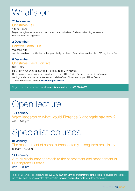### What's on

#### 28 November

#### Christmas Fair

 $11am - 4dm$ Forget the high street crowds and join us for our annual relaxed Christmas shopping experience. Free entry and parking onsite.

#### 2 December

#### London Santa Run

Victoria Park Join thousands of other Santas for this great charity run, in aid of our patients and families. £25 registration fee.

#### 6 December

#### Christmas Carol Concert

6.30 – 9pm

Holy Trinity Church, Beaumont Road, London, SW19 6SP. Come along to our annual carol concert at the beautiful Holy Trinity. Expect carols, choir performances, readings and a very special performance from Miss Gwen Dickey, lead singer of Rose Royce! Tickets are available online at www.rhn.org.uk/events.

To get in touch with the team, email events@rhn.org.uk or call 020 8780 4565.

### Open lecture

#### 12 February

Ward leadership: what would Florence Nightingale say now? 4.30 – 5.30pm

### Specialist courses

#### 31 January

The management of complex tracheostomy in long term brain injury 8.45am – 4.30pm

#### 14 February

A mutli-disciplinary approach to the assessment and management of Huntington's Disease 9am – 4.30pm

To book a course or open lecture, call 020 8780 4500 ext 5140 or email institute@rhn.org.uk. All courses and lectures are held at the RHN unless stated otherwise. Go to www.rhn.org.uk/events for further information.